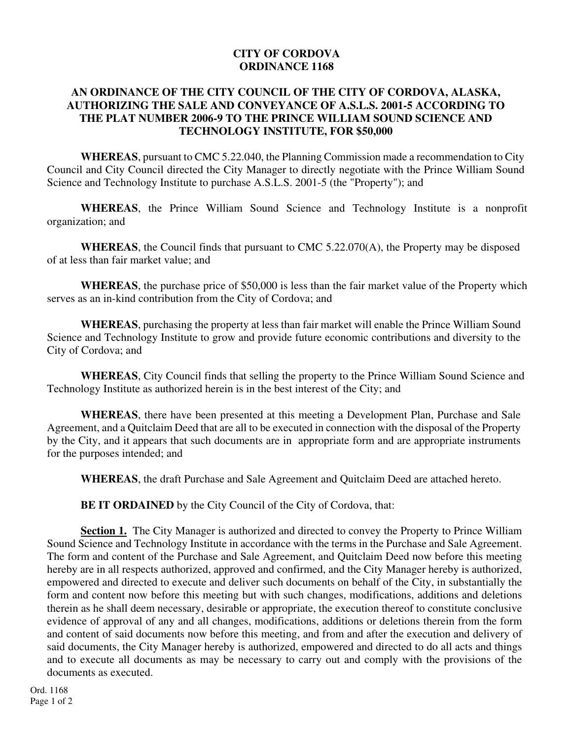## **CITY OF CORDOVA ORDINANCE 1168**

## **AN ORDINANCE OF THE CITY COUNCIL OF THE CITY OF CORDOVA, ALASKA, AUTHORIZING THE SALE AND CONVEYANCE OF A.S.L.S. 2001-5 ACCORDING TO THE PLAT NUMBER 2006-9 TO THE PRINCE WILLIAM SOUND SCIENCE AND TECHNOLOGY INSTITUTE, FOR \$50,000**

**WHEREAS**, pursuant to CMC 5.22.040, the Planning Commission made a recommendation to City Council and City Council directed the City Manager to directly negotiate with the Prince William Sound Science and Technology Institute to purchase A.S.L.S. 2001-5 (the "Property"); and

**WHEREAS**, the Prince William Sound Science and Technology Institute is a nonprofit organization; and

**WHEREAS**, the Council finds that pursuant to CMC 5.22.070(A), the Property may be disposed of at less than fair market value; and

**WHEREAS**, the purchase price of \$50,000 is less than the fair market value of the Property which serves as an in-kind contribution from the City of Cordova; and

**WHEREAS**, purchasing the property at less than fair market will enable the Prince William Sound Science and Technology Institute to grow and provide future economic contributions and diversity to the City of Cordova; and

**WHEREAS**, City Council finds that selling the property to the Prince William Sound Science and Technology Institute as authorized herein is in the best interest of the City; and

**WHEREAS**, there have been presented at this meeting a Development Plan, Purchase and Sale Agreement, and a Quitclaim Deed that are all to be executed in connection with the disposal of the Property by the City, and it appears that such documents are in appropriate form and are appropriate instruments for the purposes intended; and

**WHEREAS**, the draft Purchase and Sale Agreement and Quitclaim Deed are attached hereto.

**BE IT ORDAINED** by the City Council of the City of Cordova, that:

**Section 1.** The City Manager is authorized and directed to convey the Property to Prince William Sound Science and Technology Institute in accordance with the terms in the Purchase and Sale Agreement. The form and content of the Purchase and Sale Agreement, and Quitclaim Deed now before this meeting hereby are in all respects authorized, approved and confirmed, and the City Manager hereby is authorized, empowered and directed to execute and deliver such documents on behalf of the City, in substantially the form and content now before this meeting but with such changes, modifications, additions and deletions therein as he shall deem necessary, desirable or appropriate, the execution thereof to constitute conclusive evidence of approval of any and all changes, modifications, additions or deletions therein from the form and content of said documents now before this meeting, and from and after the execution and delivery of said documents, the City Manager hereby is authorized, empowered and directed to do all acts and things and to execute all documents as may be necessary to carry out and comply with the provisions of the documents as executed.

Ord. 1168 Page 1 of 2